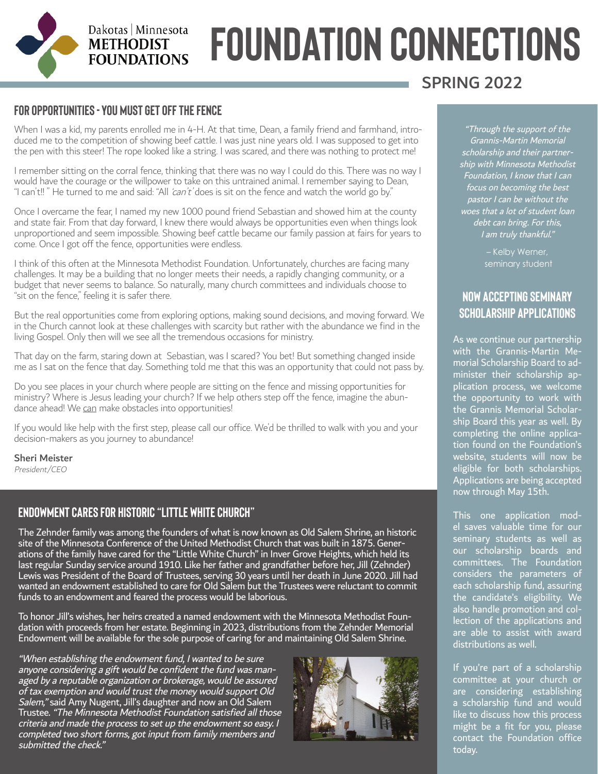## Dakotas | Minnesota **METHODIST FOUNDATIONS**

# **FOUNDATION CONNECTIONS**

#### **For Opportunities - You must get off the fence**

When I was a kid, my parents enrolled me in 4-H. At that time, Dean, a family friend and farmhand, introduced me to the competition of showing beef cattle. I was just nine years old. I was supposed to get into the pen with this steer! The rope looked like a string. I was scared, and there was nothing to protect me!

I remember sitting on the corral fence, thinking that there was no way I could do this. There was no way I would have the courage or the willpower to take on this untrained animal. I remember saying to Dean, "I can't!! " He turned to me and said: "All 'can't' does is sit on the fence and watch the world go by."

Once I overcame the fear, I named my new 1000 pound friend Sebastian and showed him at the county and state fair. From that day forward, I knew there would always be opportunities even when things look unproportioned and seem impossible. Showing beef cattle became our family passion at fairs for years to come. Once I got off the fence, opportunities were endless.

I think of this often at the Minnesota Methodist Foundation. Unfortunately, churches are facing many challenges. It may be a building that no longer meets their needs, a rapidly changing community, or a budget that never seems to balance. So naturally, many church committees and individuals choose to "sit on the fence," feeling it is safer there.

But the real opportunities come from exploring options, making sound decisions, and moving forward. We in the Church cannot look at these challenges with scarcity but rather with the abundance we find in the living Gospel. Only then will we see all the tremendous occasions for ministry.

That day on the farm, staring down at Sebastian, was I scared? You bet! But something changed inside me as I sat on the fence that day. Something told me that this was an opportunity that could not pass by.

Do you see places in your church where people are sitting on the fence and missing opportunities for ministry? Where is Jesus leading your church? If we help others step off the fence, imagine the abundance ahead! We can make obstacles into opportunities!

If you would like help with the first step, please call our office. We'd be thrilled to walk with you and your decision-makers as you journey to abundance!

#### Sheri Meister

President/CEO

#### **Endowment Cares for Historic "Little White Church"**

The Zehnder family was among the founders of what is now known as Old Salem Shrine, an historic site of the Minnesota Conference of the United Methodist Church that was built in 1875. Generations of the family have cared for the "Little White Church" in Inver Grove Heights, which held its last regular Sunday service around 1910. Like her father and grandfather before her, Jill (Zehnder) Lewis was President of the Board of Trustees, serving 30 years until her death in June 2020. Jill had wanted an endowment established to care for Old Salem but the Trustees were reluctant to commit funds to an endowment and feared the process would be laborious.

To honor Jill's wishes, her heirs created a named endowment with the Minnesota Methodist Foundation with proceeds from her estate. Beginning in 2023, distributions from the Zehnder Memorial Endowment will be available for the sole purpose of caring for and maintaining Old Salem Shrine.

"When establishing the endowment fund, I wanted to be sure anyone considering a gift would be confident the fund was managed by a reputable organization or brokerage, would be assured of tax exemption and would trust the money would support Old Salem," said Amy Nugent, Jill's daughter and now an Old Salem Trustee. "The Minnesota Methodist Foundation satisfied all those criteria and made the process to set up the endowment so easy. I completed two short forms, got input from family members and submitted the check."



### SPRING 2022

"Through the support of the Grannis-Martin Memorial scholarship and their partnership with Minnesota Methodist Foundation, I know that I can focus on becoming the best pastor I can be without the woes that a lot of student loan debt can bring. For this, I am truly thankful."

> – Kelby Werner, seminary student

#### **NOW ACCEPTING SEMINARY SCHOLARSHIP APPLICATIONS**

As we continue our partnership with the Grannis-Martin Memorial Scholarship Board to administer their scholarship application process, we welcome the opportunity to work with the Grannis Memorial Scholarship Board this year as well. By completing the online application found on the Foundation's website, students will now be eligible for both scholarships. Applications are being accepted now through May 15th.

This one application model saves valuable time for our seminary students as well as our scholarship boards and committees. The Foundation considers the parameters of each scholarship fund, assuring the candidate's eligibility. We also handle promotion and collection of the applications and are able to assist with award distributions as well.

If you're part of a scholarship committee at your church or are considering establishing a scholarship fund and would like to discuss how this process might be a fit for you, please contact the Foundation office today.